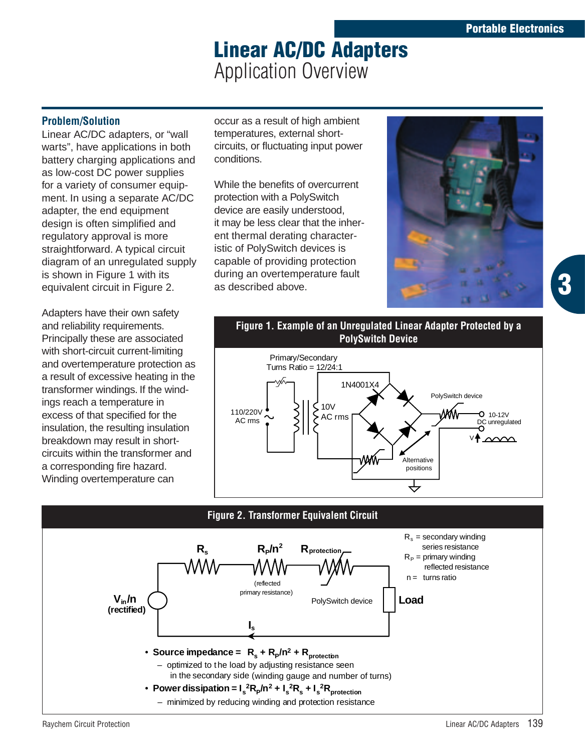**3**

# **Linear AC/DC Adapters** Application Overview

## **Problem/Solution**

Linear AC/DC adapters, or "wall warts", have applications in both battery charging applications and as low-cost DC power supplies for a variety of consumer equipment. In using a separate AC/DC adapter, the end equipment design is often simplified and regulatory approval is more straightforward. A typical circuit diagram of an unregulated supply is shown in Figure 1 with its equivalent circuit in Figure 2.

Adapters have their own safety and reliability requirements. Principally these are associated with short-circuit current-limiting and overtemperature protection as a result of excessive heating in the transformer windings. If the windings reach a temperature in excess of that specified for the insulation, the resulting insulation breakdown may result in shortcircuits within the transformer and a corresponding fire hazard. Winding overtemperature can

occur as a result of high ambient temperatures, external shortcircuits, or fluctuating input power conditions.

While the benefits of overcurrent protection with a PolySwitch device are easily understood, it may be less clear that the inherent thermal derating characteristic of PolySwitch devices is capable of providing protection during an overtemperature fault as described above.